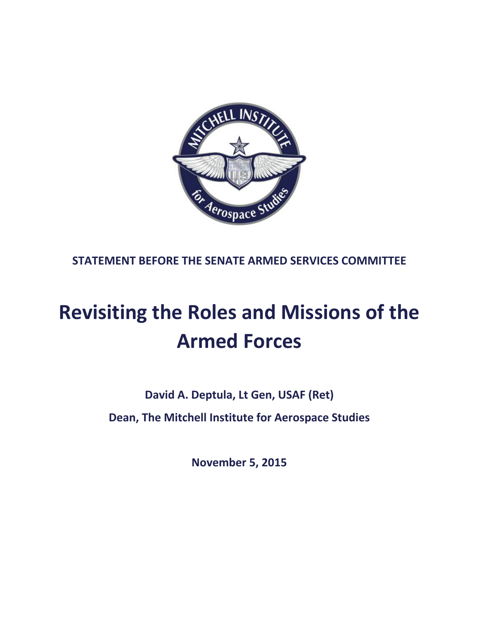

**STATEMENT BEFORE THE SENATE ARMED SERVICES COMMITTEE**

# **Revisiting the Roles and Missions of the Armed Forces**

**David A. Deptula, Lt Gen, USAF (Ret)**

**Dean, The Mitchell Institute for Aerospace Studies**

**November 5, 2015**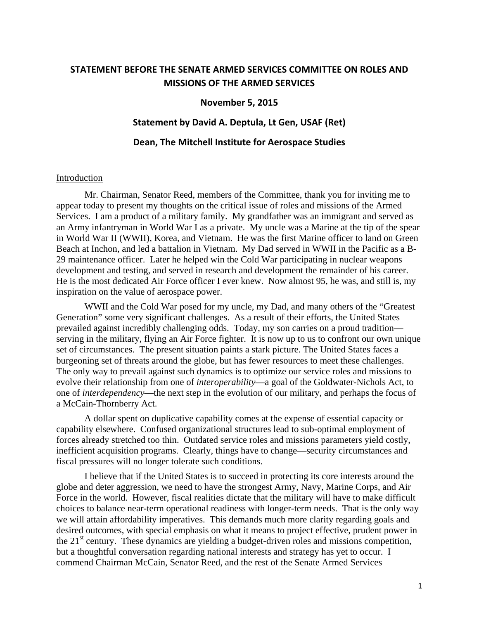## **STATEMENT BEFORE THE SENATE ARMED SERVICES COMMITTEE ON ROLES AND MISSIONS OF THE ARMED SERVICES**

## **November 5, 2015**

## **Statement by David A. Deptula, Lt Gen, USAF (Ret)**

## **Dean, The Mitchell Institute for Aerospace Studies**

#### Introduction

Mr. Chairman, Senator Reed, members of the Committee, thank you for inviting me to appear today to present my thoughts on the critical issue of roles and missions of the Armed Services. I am a product of a military family. My grandfather was an immigrant and served as an Army infantryman in World War I as a private. My uncle was a Marine at the tip of the spear in World War II (WWII), Korea, and Vietnam. He was the first Marine officer to land on Green Beach at Inchon, and led a battalion in Vietnam. My Dad served in WWII in the Pacific as a B-29 maintenance officer. Later he helped win the Cold War participating in nuclear weapons development and testing, and served in research and development the remainder of his career. He is the most dedicated Air Force officer I ever knew. Now almost 95, he was, and still is, my inspiration on the value of aerospace power.

WWII and the Cold War posed for my uncle, my Dad, and many others of the "Greatest Generation" some very significant challenges. As a result of their efforts, the United States prevailed against incredibly challenging odds. Today, my son carries on a proud tradition serving in the military, flying an Air Force fighter. It is now up to us to confront our own unique set of circumstances. The present situation paints a stark picture. The United States faces a burgeoning set of threats around the globe, but has fewer resources to meet these challenges. The only way to prevail against such dynamics is to optimize our service roles and missions to evolve their relationship from one of *interoperability*—a goal of the Goldwater-Nichols Act, to one of *interdependency*—the next step in the evolution of our military, and perhaps the focus of a McCain-Thornberry Act.

A dollar spent on duplicative capability comes at the expense of essential capacity or capability elsewhere. Confused organizational structures lead to sub-optimal employment of forces already stretched too thin. Outdated service roles and missions parameters yield costly, inefficient acquisition programs. Clearly, things have to change—security circumstances and fiscal pressures will no longer tolerate such conditions.

I believe that if the United States is to succeed in protecting its core interests around the globe and deter aggression, we need to have the strongest Army, Navy, Marine Corps, and Air Force in the world. However, fiscal realities dictate that the military will have to make difficult choices to balance near-term operational readiness with longer-term needs. That is the only way we will attain affordability imperatives. This demands much more clarity regarding goals and desired outcomes, with special emphasis on what it means to project effective, prudent power in the  $21<sup>st</sup>$  century. These dynamics are yielding a budget-driven roles and missions competition, but a thoughtful conversation regarding national interests and strategy has yet to occur. I commend Chairman McCain, Senator Reed, and the rest of the Senate Armed Services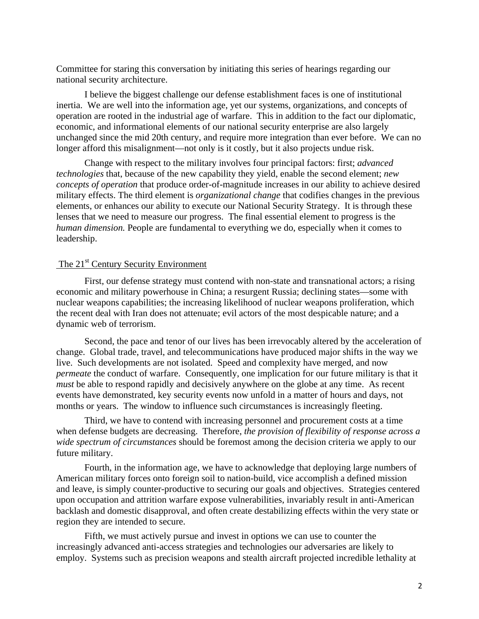Committee for staring this conversation by initiating this series of hearings regarding our national security architecture.

I believe the biggest challenge our defense establishment faces is one of institutional inertia. We are well into the information age, yet our systems, organizations, and concepts of operation are rooted in the industrial age of warfare. This in addition to the fact our diplomatic, economic, and informational elements of our national security enterprise are also largely unchanged since the mid 20th century, and require more integration than ever before. We can no longer afford this misalignment—not only is it costly, but it also projects undue risk.

Change with respect to the military involves four principal factors: first; *advanced technologies* that, because of the new capability they yield, enable the second element; *new concepts of operation* that produce order-of-magnitude increases in our ability to achieve desired military effects. The third element is *organizational change* that codifies changes in the previous elements, or enhances our ability to execute our National Security Strategy. It is through these lenses that we need to measure our progress. The final essential element to progress is the *human dimension.* People are fundamental to everything we do, especially when it comes to leadership.

## The 21<sup>st</sup> Century Security Environment

First, our defense strategy must contend with non-state and transnational actors; a rising economic and military powerhouse in China; a resurgent Russia; declining states—some with nuclear weapons capabilities; the increasing likelihood of nuclear weapons proliferation, which the recent deal with Iran does not attenuate; evil actors of the most despicable nature; and a dynamic web of terrorism.

Second, the pace and tenor of our lives has been irrevocably altered by the acceleration of change. Global trade, travel, and telecommunications have produced major shifts in the way we live. Such developments are not isolated. Speed and complexity have merged, and now *permeate* the conduct of warfare. Consequently, one implication for our future military is that it *must* be able to respond rapidly and decisively anywhere on the globe at any time. As recent events have demonstrated, key security events now unfold in a matter of hours and days, not months or years. The window to influence such circumstances is increasingly fleeting.

Third, we have to contend with increasing personnel and procurement costs at a time when defense budgets are decreasing. Therefore, *the provision of flexibility of response across a wide spectrum of circumstances* should be foremost among the decision criteria we apply to our future military.

Fourth, in the information age, we have to acknowledge that deploying large numbers of American military forces onto foreign soil to nation-build, vice accomplish a defined mission and leave, is simply counter-productive to securing our goals and objectives. Strategies centered upon occupation and attrition warfare expose vulnerabilities, invariably result in anti-American backlash and domestic disapproval, and often create destabilizing effects within the very state or region they are intended to secure.

Fifth, we must actively pursue and invest in options we can use to counter the increasingly advanced anti-access strategies and technologies our adversaries are likely to employ. Systems such as precision weapons and stealth aircraft projected incredible lethality at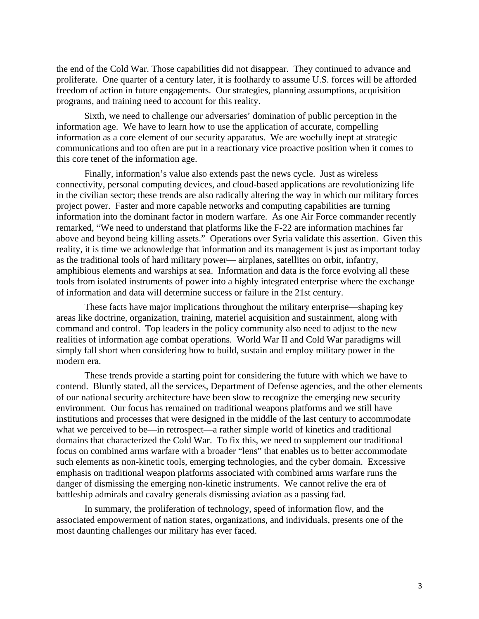the end of the Cold War. Those capabilities did not disappear. They continued to advance and proliferate. One quarter of a century later, it is foolhardy to assume U.S. forces will be afforded freedom of action in future engagements. Our strategies, planning assumptions, acquisition programs, and training need to account for this reality.

Sixth, we need to challenge our adversaries' domination of public perception in the information age. We have to learn how to use the application of accurate, compelling information as a core element of our security apparatus. We are woefully inept at strategic communications and too often are put in a reactionary vice proactive position when it comes to this core tenet of the information age.

Finally, information's value also extends past the news cycle. Just as wireless connectivity, personal computing devices, and cloud-based applications are revolutionizing life in the civilian sector; these trends are also radically altering the way in which our military forces project power. Faster and more capable networks and computing capabilities are turning information into the dominant factor in modern warfare. As one Air Force commander recently remarked, "We need to understand that platforms like the F-22 are information machines far above and beyond being killing assets." Operations over Syria validate this assertion. Given this reality, it is time we acknowledge that information and its management is just as important today as the traditional tools of hard military power— airplanes, satellites on orbit, infantry, amphibious elements and warships at sea. Information and data is the force evolving all these tools from isolated instruments of power into a highly integrated enterprise where the exchange of information and data will determine success or failure in the 21st century.

These facts have major implications throughout the military enterprise—shaping key areas like doctrine, organization, training, materiel acquisition and sustainment, along with command and control. Top leaders in the policy community also need to adjust to the new realities of information age combat operations. World War II and Cold War paradigms will simply fall short when considering how to build, sustain and employ military power in the modern era.

These trends provide a starting point for considering the future with which we have to contend. Bluntly stated, all the services, Department of Defense agencies, and the other elements of our national security architecture have been slow to recognize the emerging new security environment. Our focus has remained on traditional weapons platforms and we still have institutions and processes that were designed in the middle of the last century to accommodate what we perceived to be—in retrospect—a rather simple world of kinetics and traditional domains that characterized the Cold War. To fix this, we need to supplement our traditional focus on combined arms warfare with a broader "lens" that enables us to better accommodate such elements as non-kinetic tools, emerging technologies, and the cyber domain. Excessive emphasis on traditional weapon platforms associated with combined arms warfare runs the danger of dismissing the emerging non-kinetic instruments. We cannot relive the era of battleship admirals and cavalry generals dismissing aviation as a passing fad.

In summary, the proliferation of technology, speed of information flow, and the associated empowerment of nation states, organizations, and individuals, presents one of the most daunting challenges our military has ever faced.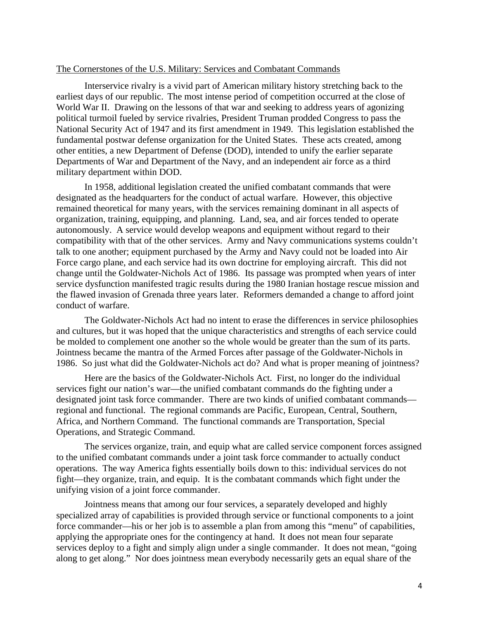## The Cornerstones of the U.S. Military: Services and Combatant Commands

Interservice rivalry is a vivid part of American military history stretching back to the earliest days of our republic. The most intense period of competition occurred at the close of World War II. Drawing on the lessons of that war and seeking to address years of agonizing political turmoil fueled by service rivalries, President Truman prodded Congress to pass the National Security Act of 1947 and its first amendment in 1949. This legislation established the fundamental postwar defense organization for the United States. These acts created, among other entities, a new Department of Defense (DOD), intended to unify the earlier separate Departments of War and Department of the Navy, and an independent air force as a third military department within DOD.

In 1958, additional legislation created the unified combatant commands that were designated as the headquarters for the conduct of actual warfare. However, this objective remained theoretical for many years, with the services remaining dominant in all aspects of organization, training, equipping, and planning. Land, sea, and air forces tended to operate autonomously. A service would develop weapons and equipment without regard to their compatibility with that of the other services. Army and Navy communications systems couldn't talk to one another; equipment purchased by the Army and Navy could not be loaded into Air Force cargo plane, and each service had its own doctrine for employing aircraft. This did not change until the Goldwater-Nichols Act of 1986. Its passage was prompted when years of inter service dysfunction manifested tragic results during the 1980 Iranian hostage rescue mission and the flawed invasion of Grenada three years later. Reformers demanded a change to afford joint conduct of warfare.

The Goldwater-Nichols Act had no intent to erase the differences in service philosophies and cultures, but it was hoped that the unique characteristics and strengths of each service could be molded to complement one another so the whole would be greater than the sum of its parts. Jointness became the mantra of the Armed Forces after passage of the Goldwater-Nichols in 1986. So just what did the Goldwater-Nichols act do? And what is proper meaning of jointness?

Here are the basics of the Goldwater-Nichols Act. First, no longer do the individual services fight our nation's war—the unified combatant commands do the fighting under a designated joint task force commander. There are two kinds of unified combatant commands regional and functional. The regional commands are Pacific, European, Central, Southern, Africa, and Northern Command. The functional commands are Transportation, Special Operations, and Strategic Command.

The services organize, train, and equip what are called service component forces assigned to the unified combatant commands under a joint task force commander to actually conduct operations. The way America fights essentially boils down to this: individual services do not fight—they organize, train, and equip. It is the combatant commands which fight under the unifying vision of a joint force commander.

Jointness means that among our four services, a separately developed and highly specialized array of capabilities is provided through service or functional components to a joint force commander—his or her job is to assemble a plan from among this "menu" of capabilities, applying the appropriate ones for the contingency at hand. It does not mean four separate services deploy to a fight and simply align under a single commander. It does not mean, "going along to get along." Nor does jointness mean everybody necessarily gets an equal share of the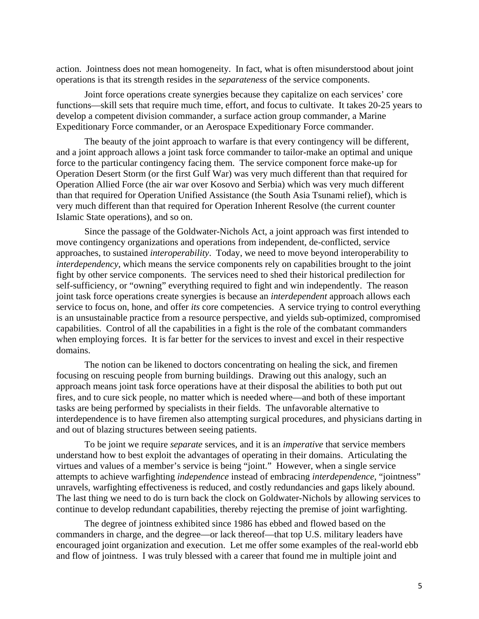action. Jointness does not mean homogeneity. In fact, what is often misunderstood about joint operations is that its strength resides in the *separateness* of the service components.

Joint force operations create synergies because they capitalize on each services' core functions—skill sets that require much time, effort, and focus to cultivate. It takes 20-25 years to develop a competent division commander, a surface action group commander, a Marine Expeditionary Force commander, or an Aerospace Expeditionary Force commander.

The beauty of the joint approach to warfare is that every contingency will be different, and a joint approach allows a joint task force commander to tailor-make an optimal and unique force to the particular contingency facing them. The service component force make-up for Operation Desert Storm (or the first Gulf War) was very much different than that required for Operation Allied Force (the air war over Kosovo and Serbia) which was very much different than that required for Operation Unified Assistance (the South Asia Tsunami relief), which is very much different than that required for Operation Inherent Resolve (the current counter Islamic State operations), and so on.

Since the passage of the Goldwater-Nichols Act, a joint approach was first intended to move contingency organizations and operations from independent, de-conflicted, service approaches, to sustained *interoperability*. Today, we need to move beyond interoperability to *interdependency*, which means the service components rely on capabilities brought to the joint fight by other service components. The services need to shed their historical predilection for self-sufficiency, or "owning" everything required to fight and win independently. The reason joint task force operations create synergies is because an *interdependent* approach allows each service to focus on, hone, and offer *its* core competencies. A service trying to control everything is an unsustainable practice from a resource perspective, and yields sub-optimized, compromised capabilities. Control of all the capabilities in a fight is the role of the combatant commanders when employing forces. It is far better for the services to invest and excel in their respective domains.

The notion can be likened to doctors concentrating on healing the sick, and firemen focusing on rescuing people from burning buildings. Drawing out this analogy, such an approach means joint task force operations have at their disposal the abilities to both put out fires, and to cure sick people, no matter which is needed where—and both of these important tasks are being performed by specialists in their fields. The unfavorable alternative to interdependence is to have firemen also attempting surgical procedures, and physicians darting in and out of blazing structures between seeing patients.

To be joint we require *separate* services, and it is an *imperative* that service members understand how to best exploit the advantages of operating in their domains. Articulating the virtues and values of a member's service is being "joint." However, when a single service attempts to achieve warfighting *independence* instead of embracing *interdependence*, "jointness" unravels, warfighting effectiveness is reduced, and costly redundancies and gaps likely abound. The last thing we need to do is turn back the clock on Goldwater-Nichols by allowing services to continue to develop redundant capabilities, thereby rejecting the premise of joint warfighting.

The degree of jointness exhibited since 1986 has ebbed and flowed based on the commanders in charge, and the degree—or lack thereof—that top U.S. military leaders have encouraged joint organization and execution. Let me offer some examples of the real-world ebb and flow of jointness. I was truly blessed with a career that found me in multiple joint and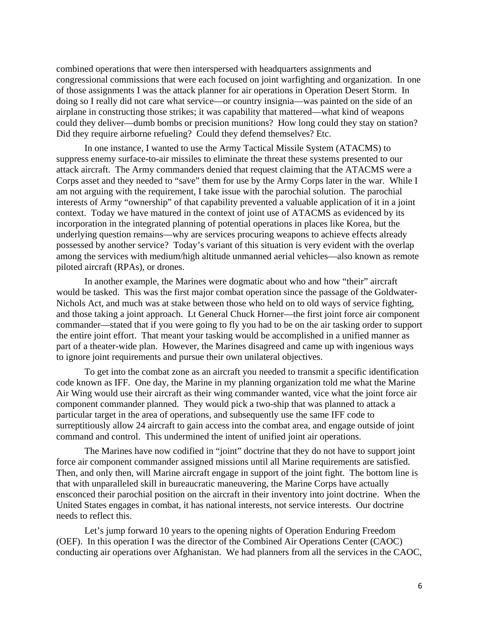combined operations that were then interspersed with headquarters assignments and congressional commissions that were each focused on joint warfighting and organization. In one of those assignments I was the attack planner for air operations in Operation Desert Storm. In doing so I really did not care what service—or country insignia—was painted on the side of an airplane in constructing those strikes; it was capability that mattered—what kind of weapons could they deliver—dumb bombs or precision munitions? How long could they stay on station? Did they require airborne refueling? Could they defend themselves? Etc.

In one instance, I wanted to use the Army Tactical Missile System (ATACMS) to suppress enemy surface-to-air missiles to eliminate the threat these systems presented to our attack aircraft. The Army commanders denied that request claiming that the ATACMS were a Corps asset and they needed to "save" them for use by the Army Corps later in the war. While I am not arguing with the requirement, I take issue with the parochial solution. The parochial interests of Army "ownership" of that capability prevented a valuable application of it in a joint context. Today we have matured in the context of joint use of ATACMS as evidenced by its incorporation in the integrated planning of potential operations in places like Korea, but the underlying question remains—why are services procuring weapons to achieve effects already possessed by another service? Today's variant of this situation is very evident with the overlap among the services with medium/high altitude unmanned aerial vehicles—also known as remote piloted aircraft (RPAs), or drones.

In another example, the Marines were dogmatic about who and how "their" aircraft would be tasked. This was the first major combat operation since the passage of the Goldwater-Nichols Act, and much was at stake between those who held on to old ways of service fighting, and those taking a joint approach. Lt General Chuck Horner—the first joint force air component commander—stated that if you were going to fly you had to be on the air tasking order to support the entire joint effort. That meant your tasking would be accomplished in a unified manner as part of a theater-wide plan. However, the Marines disagreed and came up with ingenious ways to ignore joint requirements and pursue their own unilateral objectives.

To get into the combat zone as an aircraft you needed to transmit a specific identification code known as IFF. One day, the Marine in my planning organization told me what the Marine Air Wing would use their aircraft as their wing commander wanted, vice what the joint force air component commander planned. They would pick a two-ship that was planned to attack a particular target in the area of operations, and subsequently use the same IFF code to surreptitiously allow 24 aircraft to gain access into the combat area, and engage outside of joint command and control. This undermined the intent of unified joint air operations.

The Marines have now codified in "joint" doctrine that they do not have to support joint force air component commander assigned missions until all Marine requirements are satisfied. Then, and only then, will Marine aircraft engage in support of the joint fight. The bottom line is that with unparalleled skill in bureaucratic maneuvering, the Marine Corps have actually ensconced their parochial position on the aircraft in their inventory into joint doctrine. When the United States engages in combat, it has national interests, not service interests. Our doctrine needs to reflect this.

Let's jump forward 10 years to the opening nights of Operation Enduring Freedom (OEF). In this operation I was the director of the Combined Air Operations Center (CAOC) conducting air operations over Afghanistan. We had planners from all the services in the CAOC,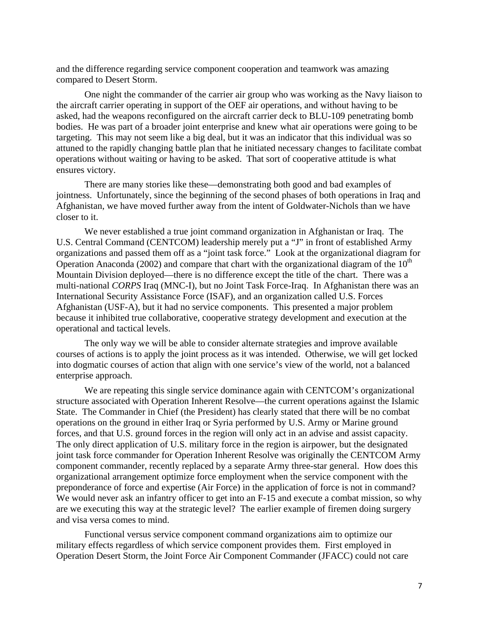and the difference regarding service component cooperation and teamwork was amazing compared to Desert Storm.

One night the commander of the carrier air group who was working as the Navy liaison to the aircraft carrier operating in support of the OEF air operations, and without having to be asked, had the weapons reconfigured on the aircraft carrier deck to BLU-109 penetrating bomb bodies. He was part of a broader joint enterprise and knew what air operations were going to be targeting. This may not seem like a big deal, but it was an indicator that this individual was so attuned to the rapidly changing battle plan that he initiated necessary changes to facilitate combat operations without waiting or having to be asked. That sort of cooperative attitude is what ensures victory.

There are many stories like these—demonstrating both good and bad examples of jointness. Unfortunately, since the beginning of the second phases of both operations in Iraq and Afghanistan, we have moved further away from the intent of Goldwater-Nichols than we have closer to it.

We never established a true joint command organization in Afghanistan or Iraq. The U.S. Central Command (CENTCOM) leadership merely put a "J" in front of established Army organizations and passed them off as a "joint task force." Look at the organizational diagram for Operation Anaconda (2002) and compare that chart with the organizational diagram of the  $10<sup>th</sup>$ Mountain Division deployed—there is no difference except the title of the chart. There was a multi-national *CORPS* Iraq (MNC-I), but no Joint Task Force-Iraq. In Afghanistan there was an International Security Assistance Force (ISAF), and an organization called U.S. Forces Afghanistan (USF-A), but it had no service components. This presented a major problem because it inhibited true collaborative, cooperative strategy development and execution at the operational and tactical levels.

The only way we will be able to consider alternate strategies and improve available courses of actions is to apply the joint process as it was intended. Otherwise, we will get locked into dogmatic courses of action that align with one service's view of the world, not a balanced enterprise approach.

We are repeating this single service dominance again with CENTCOM's organizational structure associated with Operation Inherent Resolve—the current operations against the Islamic State. The Commander in Chief (the President) has clearly stated that there will be no combat operations on the ground in either Iraq or Syria performed by U.S. Army or Marine ground forces, and that U.S. ground forces in the region will only act in an advise and assist capacity. The only direct application of U.S. military force in the region is airpower, but the designated joint task force commander for Operation Inherent Resolve was originally the CENTCOM Army component commander, recently replaced by a separate Army three-star general. How does this organizational arrangement optimize force employment when the service component with the preponderance of force and expertise (Air Force) in the application of force is not in command? We would never ask an infantry officer to get into an  $F-15$  and execute a combat mission, so why are we executing this way at the strategic level? The earlier example of firemen doing surgery and visa versa comes to mind.

 Functional versus service component command organizations aim to optimize our military effects regardless of which service component provides them. First employed in Operation Desert Storm, the Joint Force Air Component Commander (JFACC) could not care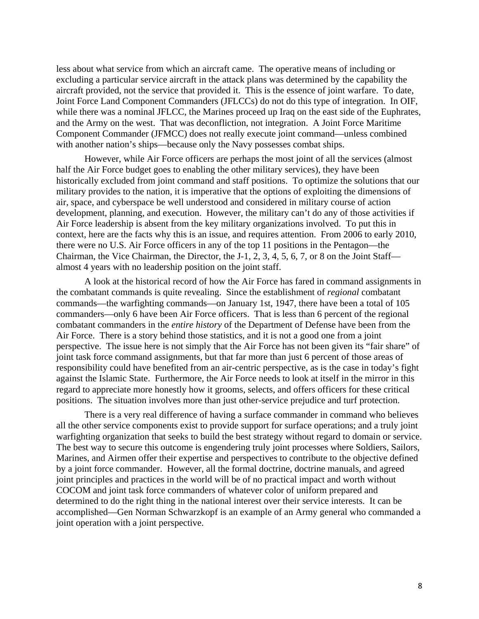less about what service from which an aircraft came. The operative means of including or excluding a particular service aircraft in the attack plans was determined by the capability the aircraft provided, not the service that provided it. This is the essence of joint warfare. To date, Joint Force Land Component Commanders (JFLCCs) do not do this type of integration. In OIF, while there was a nominal JFLCC, the Marines proceed up Iraq on the east side of the Euphrates, and the Army on the west. That was deconfliction, not integration. A Joint Force Maritime Component Commander (JFMCC) does not really execute joint command—unless combined with another nation's ships—because only the Navy possesses combat ships.

 However, while Air Force officers are perhaps the most joint of all the services (almost half the Air Force budget goes to enabling the other military services), they have been historically excluded from joint command and staff positions. To optimize the solutions that our military provides to the nation, it is imperative that the options of exploiting the dimensions of air, space, and cyberspace be well understood and considered in military course of action development, planning, and execution. However, the military can't do any of those activities if Air Force leadership is absent from the key military organizations involved. To put this in context, here are the facts why this is an issue, and requires attention. From 2006 to early 2010, there were no U.S. Air Force officers in any of the top 11 positions in the Pentagon—the Chairman, the Vice Chairman, the Director, the J-1, 2, 3, 4, 5, 6, 7, or 8 on the Joint Staff almost 4 years with no leadership position on the joint staff.

 A look at the historical record of how the Air Force has fared in command assignments in the combatant commands is quite revealing. Since the establishment of *regional* combatant commands—the warfighting commands—on January 1st, 1947, there have been a total of 105 commanders—only 6 have been Air Force officers. That is less than 6 percent of the regional combatant commanders in the *entire history* of the Department of Defense have been from the Air Force. There is a story behind those statistics, and it is not a good one from a joint perspective. The issue here is not simply that the Air Force has not been given its "fair share" of joint task force command assignments, but that far more than just 6 percent of those areas of responsibility could have benefited from an air-centric perspective, as is the case in today's fight against the Islamic State. Furthermore, the Air Force needs to look at itself in the mirror in this regard to appreciate more honestly how it grooms, selects, and offers officers for these critical positions. The situation involves more than just other-service prejudice and turf protection.

There is a very real difference of having a surface commander in command who believes all the other service components exist to provide support for surface operations; and a truly joint warfighting organization that seeks to build the best strategy without regard to domain or service. The best way to secure this outcome is engendering truly joint processes where Soldiers, Sailors, Marines, and Airmen offer their expertise and perspectives to contribute to the objective defined by a joint force commander. However, all the formal doctrine, doctrine manuals, and agreed joint principles and practices in the world will be of no practical impact and worth without COCOM and joint task force commanders of whatever color of uniform prepared and determined to do the right thing in the national interest over their service interests. It can be accomplished—Gen Norman Schwarzkopf is an example of an Army general who commanded a joint operation with a joint perspective.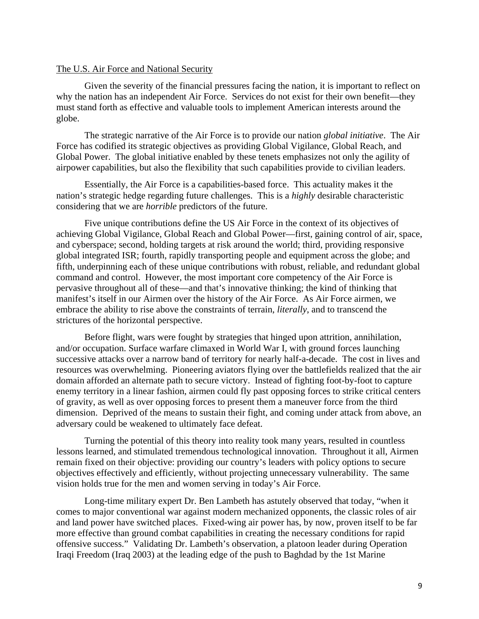### The U.S. Air Force and National Security

Given the severity of the financial pressures facing the nation, it is important to reflect on why the nation has an independent Air Force. Services do not exist for their own benefit—they must stand forth as effective and valuable tools to implement American interests around the globe.

The strategic narrative of the Air Force is to provide our nation *global initiative*. The Air Force has codified its strategic objectives as providing Global Vigilance, Global Reach, and Global Power. The global initiative enabled by these tenets emphasizes not only the agility of airpower capabilities, but also the flexibility that such capabilities provide to civilian leaders.

Essentially, the Air Force is a capabilities-based force. This actuality makes it the nation's strategic hedge regarding future challenges. This is a *highly* desirable characteristic considering that we are *horrible* predictors of the future.

Five unique contributions define the US Air Force in the context of its objectives of achieving Global Vigilance, Global Reach and Global Power—first, gaining control of air, space, and cyberspace; second, holding targets at risk around the world; third, providing responsive global integrated ISR; fourth, rapidly transporting people and equipment across the globe; and fifth, underpinning each of these unique contributions with robust, reliable, and redundant global command and control. However, the most important core competency of the Air Force is pervasive throughout all of these—and that's innovative thinking; the kind of thinking that manifest's itself in our Airmen over the history of the Air Force. As Air Force airmen, we embrace the ability to rise above the constraints of terrain, *literally*, and to transcend the strictures of the horizontal perspective.

Before flight, wars were fought by strategies that hinged upon attrition, annihilation, and/or occupation. Surface warfare climaxed in World War I, with ground forces launching successive attacks over a narrow band of territory for nearly half-a-decade. The cost in lives and resources was overwhelming. Pioneering aviators flying over the battlefields realized that the air domain afforded an alternate path to secure victory. Instead of fighting foot-by-foot to capture enemy territory in a linear fashion, airmen could fly past opposing forces to strike critical centers of gravity, as well as over opposing forces to present them a maneuver force from the third dimension. Deprived of the means to sustain their fight, and coming under attack from above, an adversary could be weakened to ultimately face defeat.

Turning the potential of this theory into reality took many years, resulted in countless lessons learned, and stimulated tremendous technological innovation. Throughout it all, Airmen remain fixed on their objective: providing our country's leaders with policy options to secure objectives effectively and efficiently, without projecting unnecessary vulnerability. The same vision holds true for the men and women serving in today's Air Force.

Long-time military expert Dr. Ben Lambeth has astutely observed that today, "when it comes to major conventional war against modern mechanized opponents, the classic roles of air and land power have switched places. Fixed-wing air power has, by now, proven itself to be far more effective than ground combat capabilities in creating the necessary conditions for rapid offensive success." Validating Dr. Lambeth's observation, a platoon leader during Operation Iraqi Freedom (Iraq 2003) at the leading edge of the push to Baghdad by the 1st Marine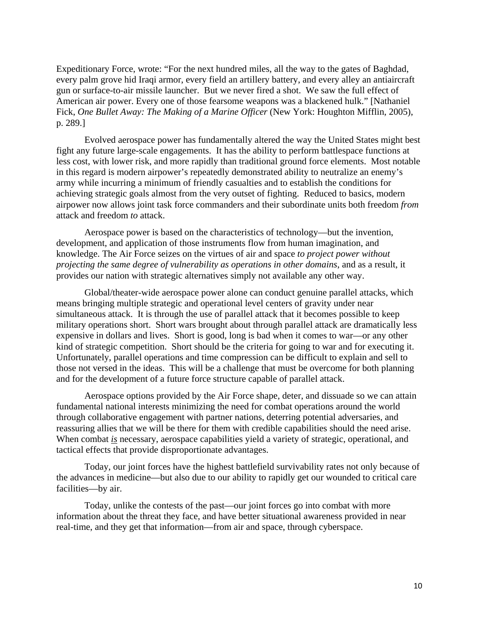Expeditionary Force, wrote: "For the next hundred miles, all the way to the gates of Baghdad, every palm grove hid Iraqi armor, every field an artillery battery, and every alley an antiaircraft gun or surface-to-air missile launcher. But we never fired a shot. We saw the full effect of American air power. Every one of those fearsome weapons was a blackened hulk." [Nathaniel Fick, *One Bullet Away: The Making of a Marine Officer* (New York: Houghton Mifflin, 2005), p. 289.]

Evolved aerospace power has fundamentally altered the way the United States might best fight any future large-scale engagements. It has the ability to perform battlespace functions at less cost, with lower risk, and more rapidly than traditional ground force elements. Most notable in this regard is modern airpower's repeatedly demonstrated ability to neutralize an enemy's army while incurring a minimum of friendly casualties and to establish the conditions for achieving strategic goals almost from the very outset of fighting. Reduced to basics, modern airpower now allows joint task force commanders and their subordinate units both freedom *from* attack and freedom *to* attack.

Aerospace power is based on the characteristics of technology—but the invention, development, and application of those instruments flow from human imagination, and knowledge. The Air Force seizes on the virtues of air and space *to project power without projecting the same degree of vulnerability as operations in other domains*, and as a result, it provides our nation with strategic alternatives simply not available any other way.

 Global/theater-wide aerospace power alone can conduct genuine parallel attacks, which means bringing multiple strategic and operational level centers of gravity under near simultaneous attack. It is through the use of parallel attack that it becomes possible to keep military operations short. Short wars brought about through parallel attack are dramatically less expensive in dollars and lives. Short is good, long is bad when it comes to war—or any other kind of strategic competition. Short should be the criteria for going to war and for executing it. Unfortunately, parallel operations and time compression can be difficult to explain and sell to those not versed in the ideas. This will be a challenge that must be overcome for both planning and for the development of a future force structure capable of parallel attack.

Aerospace options provided by the Air Force shape, deter, and dissuade so we can attain fundamental national interests minimizing the need for combat operations around the world through collaborative engagement with partner nations, deterring potential adversaries, and reassuring allies that we will be there for them with credible capabilities should the need arise. When combat *is* necessary, aerospace capabilities yield a variety of strategic, operational, and tactical effects that provide disproportionate advantages.

Today, our joint forces have the highest battlefield survivability rates not only because of the advances in medicine—but also due to our ability to rapidly get our wounded to critical care facilities—by air.

Today, unlike the contests of the past—our joint forces go into combat with more information about the threat they face, and have better situational awareness provided in near real-time, and they get that information—from air and space, through cyberspace.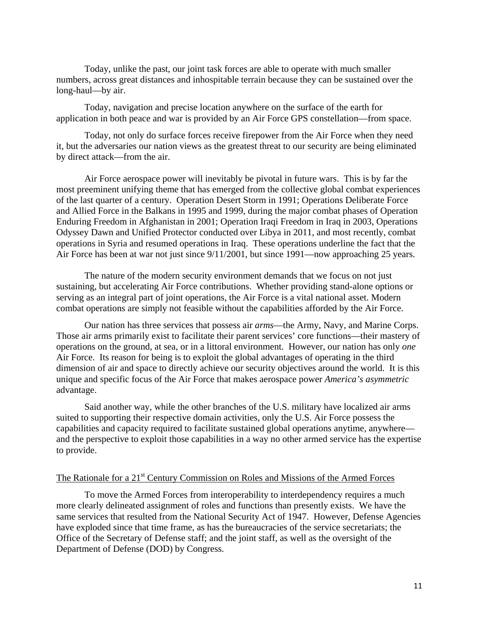Today, unlike the past, our joint task forces are able to operate with much smaller numbers, across great distances and inhospitable terrain because they can be sustained over the long-haul—by air.

Today, navigation and precise location anywhere on the surface of the earth for application in both peace and war is provided by an Air Force GPS constellation—from space.

Today, not only do surface forces receive firepower from the Air Force when they need it, but the adversaries our nation views as the greatest threat to our security are being eliminated by direct attack—from the air.

Air Force aerospace power will inevitably be pivotal in future wars. This is by far the most preeminent unifying theme that has emerged from the collective global combat experiences of the last quarter of a century. Operation Desert Storm in 1991; Operations Deliberate Force and Allied Force in the Balkans in 1995 and 1999, during the major combat phases of Operation Enduring Freedom in Afghanistan in 2001; Operation Iraqi Freedom in Iraq in 2003, Operations Odyssey Dawn and Unified Protector conducted over Libya in 2011, and most recently, combat operations in Syria and resumed operations in Iraq. These operations underline the fact that the Air Force has been at war not just since 9/11/2001, but since 1991—now approaching 25 years.

The nature of the modern security environment demands that we focus on not just sustaining*,* but accelerating Air Force contributions. Whether providing stand-alone options or serving as an integral part of joint operations, the Air Force is a vital national asset. Modern combat operations are simply not feasible without the capabilities afforded by the Air Force.

Our nation has three services that possess air *arms*—the Army, Navy, and Marine Corps. Those air arms primarily exist to facilitate their parent services' core functions—their mastery of operations on the ground, at sea, or in a littoral environment. However, our nation has only *one* Air Force. Its reason for being is to exploit the global advantages of operating in the third dimension of air and space to directly achieve our security objectives around the world. It is this unique and specific focus of the Air Force that makes aerospace power *America's asymmetric* advantage.

Said another way, while the other branches of the U.S. military have localized air arms suited to supporting their respective domain activities, only the U.S. Air Force possess the capabilities and capacity required to facilitate sustained global operations anytime, anywhere and the perspective to exploit those capabilities in a way no other armed service has the expertise to provide.

## The Rationale for a 21<sup>st</sup> Century Commission on Roles and Missions of the Armed Forces

To move the Armed Forces from interoperability to interdependency requires a much more clearly delineated assignment of roles and functions than presently exists. We have the same services that resulted from the National Security Act of 1947. However, Defense Agencies have exploded since that time frame, as has the bureaucracies of the service secretariats; the Office of the Secretary of Defense staff; and the joint staff, as well as the oversight of the Department of Defense (DOD) by Congress.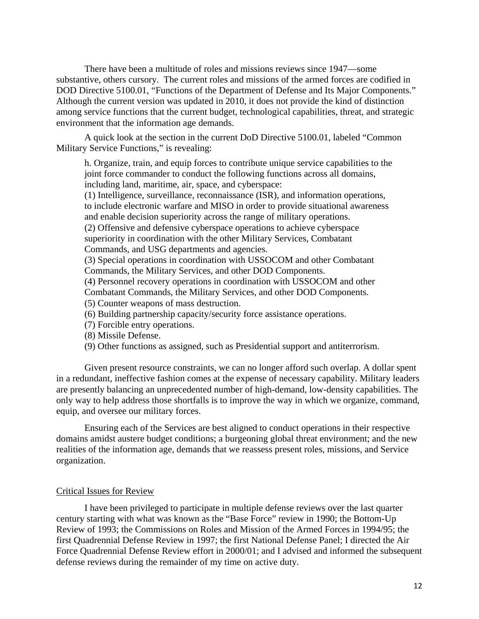There have been a multitude of roles and missions reviews since 1947—some substantive, others cursory. The current roles and missions of the armed forces are codified in DOD Directive 5100.01, "Functions of the Department of Defense and Its Major Components." Although the current version was updated in 2010, it does not provide the kind of distinction among service functions that the current budget, technological capabilities, threat, and strategic environment that the information age demands.

A quick look at the section in the current DoD Directive 5100.01, labeled "Common Military Service Functions," is revealing:

h. Organize, train, and equip forces to contribute unique service capabilities to the joint force commander to conduct the following functions across all domains, including land, maritime, air, space, and cyberspace:

(1) Intelligence, surveillance, reconnaissance (ISR), and information operations, to include electronic warfare and MISO in order to provide situational awareness and enable decision superiority across the range of military operations.

(2) Offensive and defensive cyberspace operations to achieve cyberspace superiority in coordination with the other Military Services, Combatant Commands, and USG departments and agencies.

(3) Special operations in coordination with USSOCOM and other Combatant Commands, the Military Services, and other DOD Components.

(4) Personnel recovery operations in coordination with USSOCOM and other

Combatant Commands, the Military Services, and other DOD Components.

- (5) Counter weapons of mass destruction.
- (6) Building partnership capacity/security force assistance operations.
- (7) Forcible entry operations.
- (8) Missile Defense.
- (9) Other functions as assigned, such as Presidential support and antiterrorism.

 Given present resource constraints, we can no longer afford such overlap. A dollar spent in a redundant, ineffective fashion comes at the expense of necessary capability. Military leaders are presently balancing an unprecedented number of high-demand, low-density capabilities. The only way to help address those shortfalls is to improve the way in which we organize, command, equip, and oversee our military forces.

 Ensuring each of the Services are best aligned to conduct operations in their respective domains amidst austere budget conditions; a burgeoning global threat environment; and the new realities of the information age, demands that we reassess present roles, missions, and Service organization.

## Critical Issues for Review

I have been privileged to participate in multiple defense reviews over the last quarter century starting with what was known as the "Base Force" review in 1990; the Bottom-Up Review of 1993; the Commissions on Roles and Mission of the Armed Forces in 1994/95; the first Quadrennial Defense Review in 1997; the first National Defense Panel; I directed the Air Force Quadrennial Defense Review effort in 2000/01; and I advised and informed the subsequent defense reviews during the remainder of my time on active duty.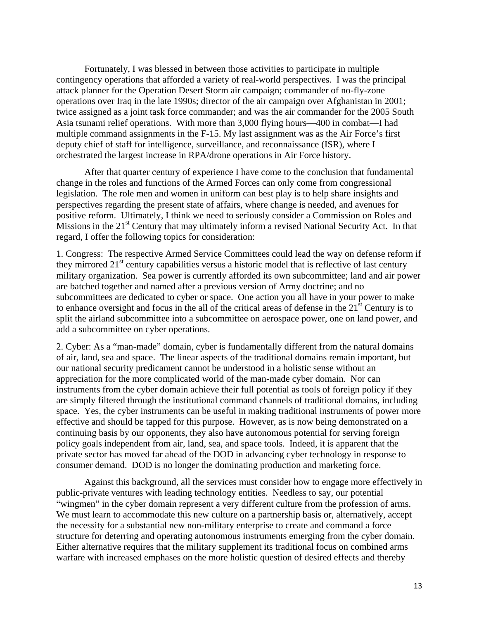Fortunately, I was blessed in between those activities to participate in multiple contingency operations that afforded a variety of real-world perspectives. I was the principal attack planner for the Operation Desert Storm air campaign; commander of no-fly-zone operations over Iraq in the late 1990s; director of the air campaign over Afghanistan in 2001; twice assigned as a joint task force commander; and was the air commander for the 2005 South Asia tsunami relief operations. With more than 3,000 flying hours—400 in combat—I had multiple command assignments in the F-15. My last assignment was as the Air Force's first deputy chief of staff for intelligence, surveillance, and reconnaissance (ISR), where I orchestrated the largest increase in RPA/drone operations in Air Force history.

 After that quarter century of experience I have come to the conclusion that fundamental change in the roles and functions of the Armed Forces can only come from congressional legislation. The role men and women in uniform can best play is to help share insights and perspectives regarding the present state of affairs, where change is needed, and avenues for positive reform. Ultimately, I think we need to seriously consider a Commission on Roles and Missions in the 21<sup>st</sup> Century that may ultimately inform a revised National Security Act. In that regard, I offer the following topics for consideration:

1. Congress: The respective Armed Service Committees could lead the way on defense reform if they mirrored  $21<sup>st</sup>$  century capabilities versus a historic model that is reflective of last century military organization. Sea power is currently afforded its own subcommittee; land and air power are batched together and named after a previous version of Army doctrine; and no subcommittees are dedicated to cyber or space. One action you all have in your power to make to enhance oversight and focus in the all of the critical areas of defense in the  $21<sup>st</sup>$  Century is to split the airland subcommittee into a subcommittee on aerospace power, one on land power, and add a subcommittee on cyber operations.

2. Cyber: As a "man-made" domain, cyber is fundamentally different from the natural domains of air, land, sea and space. The linear aspects of the traditional domains remain important, but our national security predicament cannot be understood in a holistic sense without an appreciation for the more complicated world of the man-made cyber domain. Nor can instruments from the cyber domain achieve their full potential as tools of foreign policy if they are simply filtered through the institutional command channels of traditional domains, including space. Yes, the cyber instruments can be useful in making traditional instruments of power more effective and should be tapped for this purpose. However, as is now being demonstrated on a continuing basis by our opponents, they also have autonomous potential for serving foreign policy goals independent from air, land, sea, and space tools. Indeed, it is apparent that the private sector has moved far ahead of the DOD in advancing cyber technology in response to consumer demand. DOD is no longer the dominating production and marketing force.

 Against this background, all the services must consider how to engage more effectively in public-private ventures with leading technology entities. Needless to say, our potential "wingmen" in the cyber domain represent a very different culture from the profession of arms. We must learn to accommodate this new culture on a partnership basis or, alternatively, accept the necessity for a substantial new non-military enterprise to create and command a force structure for deterring and operating autonomous instruments emerging from the cyber domain. Either alternative requires that the military supplement its traditional focus on combined arms warfare with increased emphases on the more holistic question of desired effects and thereby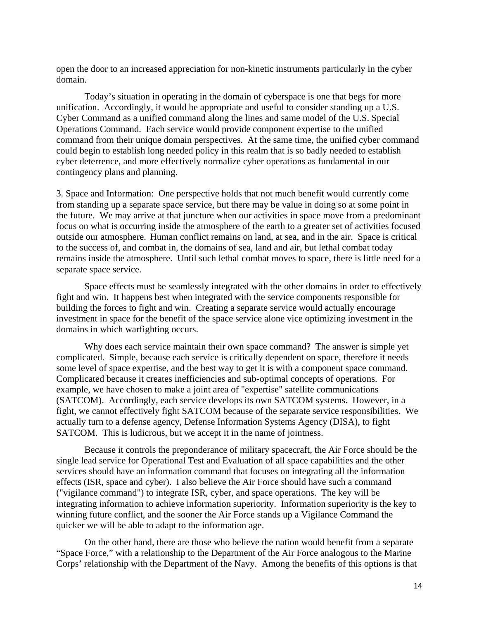open the door to an increased appreciation for non-kinetic instruments particularly in the cyber domain.

Today's situation in operating in the domain of cyberspace is one that begs for more unification. Accordingly, it would be appropriate and useful to consider standing up a U.S. Cyber Command as a unified command along the lines and same model of the U.S. Special Operations Command. Each service would provide component expertise to the unified command from their unique domain perspectives. At the same time, the unified cyber command could begin to establish long needed policy in this realm that is so badly needed to establish cyber deterrence, and more effectively normalize cyber operations as fundamental in our contingency plans and planning.

3. Space and Information: One perspective holds that not much benefit would currently come from standing up a separate space service, but there may be value in doing so at some point in the future. We may arrive at that juncture when our activities in space move from a predominant focus on what is occurring inside the atmosphere of the earth to a greater set of activities focused outside our atmosphere. Human conflict remains on land, at sea, and in the air. Space is critical to the success of, and combat in, the domains of sea, land and air, but lethal combat today remains inside the atmosphere. Until such lethal combat moves to space, there is little need for a separate space service.

 Space effects must be seamlessly integrated with the other domains in order to effectively fight and win. It happens best when integrated with the service components responsible for building the forces to fight and win. Creating a separate service would actually encourage investment in space for the benefit of the space service alone vice optimizing investment in the domains in which warfighting occurs.

 Why does each service maintain their own space command? The answer is simple yet complicated. Simple, because each service is critically dependent on space, therefore it needs some level of space expertise, and the best way to get it is with a component space command. Complicated because it creates inefficiencies and sub-optimal concepts of operations. For example, we have chosen to make a joint area of "expertise" satellite communications (SATCOM). Accordingly, each service develops its own SATCOM systems. However, in a fight, we cannot effectively fight SATCOM because of the separate service responsibilities. We actually turn to a defense agency, Defense Information Systems Agency (DISA), to fight SATCOM. This is ludicrous, but we accept it in the name of jointness.

 Because it controls the preponderance of military spacecraft, the Air Force should be the single lead service for Operational Test and Evaluation of all space capabilities and the other services should have an information command that focuses on integrating all the information effects (ISR, space and cyber). I also believe the Air Force should have such a command ("vigilance command") to integrate ISR, cyber, and space operations. The key will be integrating information to achieve information superiority. Information superiority is the key to winning future conflict, and the sooner the Air Force stands up a Vigilance Command the quicker we will be able to adapt to the information age.

 On the other hand, there are those who believe the nation would benefit from a separate "Space Force," with a relationship to the Department of the Air Force analogous to the Marine Corps' relationship with the Department of the Navy. Among the benefits of this options is that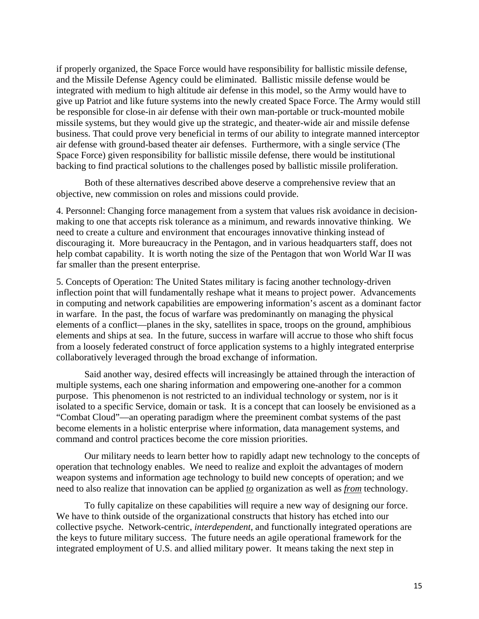if properly organized, the Space Force would have responsibility for ballistic missile defense, and the Missile Defense Agency could be eliminated. Ballistic missile defense would be integrated with medium to high altitude air defense in this model, so the Army would have to give up Patriot and like future systems into the newly created Space Force. The Army would still be responsible for close-in air defense with their own man-portable or truck-mounted mobile missile systems, but they would give up the strategic, and theater-wide air and missile defense business. That could prove very beneficial in terms of our ability to integrate manned interceptor air defense with ground-based theater air defenses. Furthermore, with a single service (The Space Force) given responsibility for ballistic missile defense, there would be institutional backing to find practical solutions to the challenges posed by ballistic missile proliferation.

 Both of these alternatives described above deserve a comprehensive review that an objective, new commission on roles and missions could provide.

4. Personnel: Changing force management from a system that values risk avoidance in decisionmaking to one that accepts risk tolerance as a minimum, and rewards innovative thinking. We need to create a culture and environment that encourages innovative thinking instead of discouraging it. More bureaucracy in the Pentagon, and in various headquarters staff, does not help combat capability. It is worth noting the size of the Pentagon that won World War II was far smaller than the present enterprise.

5. Concepts of Operation: The United States military is facing another technology-driven inflection point that will fundamentally reshape what it means to project power. Advancements in computing and network capabilities are empowering information's ascent as a dominant factor in warfare. In the past, the focus of warfare was predominantly on managing the physical elements of a conflict—planes in the sky, satellites in space, troops on the ground, amphibious elements and ships at sea. In the future, success in warfare will accrue to those who shift focus from a loosely federated construct of force application systems to a highly integrated enterprise collaboratively leveraged through the broad exchange of information.

 Said another way, desired effects will increasingly be attained through the interaction of multiple systems, each one sharing information and empowering one-another for a common purpose. This phenomenon is not restricted to an individual technology or system, nor is it isolated to a specific Service, domain or task. It is a concept that can loosely be envisioned as a "Combat Cloud"—an operating paradigm where the preeminent combat systems of the past become elements in a holistic enterprise where information, data management systems, and command and control practices become the core mission priorities.

 Our military needs to learn better how to rapidly adapt new technology to the concepts of operation that technology enables. We need to realize and exploit the advantages of modern weapon systems and information age technology to build new concepts of operation; and we need to also realize that innovation can be applied *to* organization as well as *from* technology.

 To fully capitalize on these capabilities will require a new way of designing our force. We have to think outside of the organizational constructs that history has etched into our collective psyche. Network-centric, *interdependent*, and functionally integrated operations are the keys to future military success. The future needs an agile operational framework for the integrated employment of U.S. and allied military power. It means taking the next step in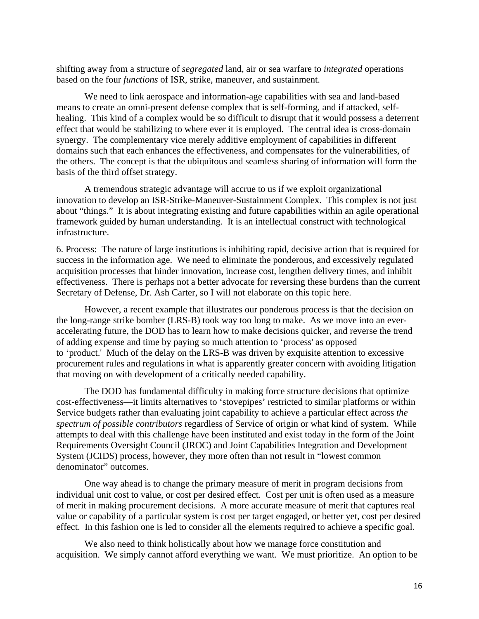shifting away from a structure of *segregated* land, air or sea warfare to *integrated* operations based on the four *functions* of ISR, strike, maneuver, and sustainment.

 We need to link aerospace and information-age capabilities with sea and land-based means to create an omni-present defense complex that is self-forming, and if attacked, selfhealing. This kind of a complex would be so difficult to disrupt that it would possess a deterrent effect that would be stabilizing to where ever it is employed. The central idea is cross-domain synergy. The complementary vice merely additive employment of capabilities in different domains such that each enhances the effectiveness, and compensates for the vulnerabilities, of the others. The concept is that the ubiquitous and seamless sharing of information will form the basis of the third offset strategy.

 A tremendous strategic advantage will accrue to us if we exploit organizational innovation to develop an ISR-Strike-Maneuver-Sustainment Complex. This complex is not just about "things." It is about integrating existing and future capabilities within an agile operational framework guided by human understanding. It is an intellectual construct with technological infrastructure.

6. Process: The nature of large institutions is inhibiting rapid, decisive action that is required for success in the information age. We need to eliminate the ponderous, and excessively regulated acquisition processes that hinder innovation, increase cost, lengthen delivery times, and inhibit effectiveness. There is perhaps not a better advocate for reversing these burdens than the current Secretary of Defense, Dr. Ash Carter, so I will not elaborate on this topic here.

 However, a recent example that illustrates our ponderous process is that the decision on the long-range strike bomber (LRS-B) took way too long to make. As we move into an everaccelerating future, the DOD has to learn how to make decisions quicker, and reverse the trend of adding expense and time by paying so much attention to 'process' as opposed to 'product.' Much of the delay on the LRS-B was driven by exquisite attention to excessive procurement rules and regulations in what is apparently greater concern with avoiding litigation that moving on with development of a critically needed capability.

 The DOD has fundamental difficulty in making force structure decisions that optimize cost-effectiveness—it limits alternatives to 'stovepipes' restricted to similar platforms or within Service budgets rather than evaluating joint capability to achieve a particular effect across *the spectrum of possible contributors* regardless of Service of origin or what kind of system. While attempts to deal with this challenge have been instituted and exist today in the form of the Joint Requirements Oversight Council (JROC) and Joint Capabilities Integration and Development System (JCIDS) process, however, they more often than not result in "lowest common denominator" outcomes.

 One way ahead is to change the primary measure of merit in program decisions from individual unit cost to value, or cost per desired effect. Cost per unit is often used as a measure of merit in making procurement decisions. A more accurate measure of merit that captures real value or capability of a particular system is cost per target engaged, or better yet, cost per desired effect. In this fashion one is led to consider all the elements required to achieve a specific goal.

We also need to think holistically about how we manage force constitution and acquisition. We simply cannot afford everything we want. We must prioritize. An option to be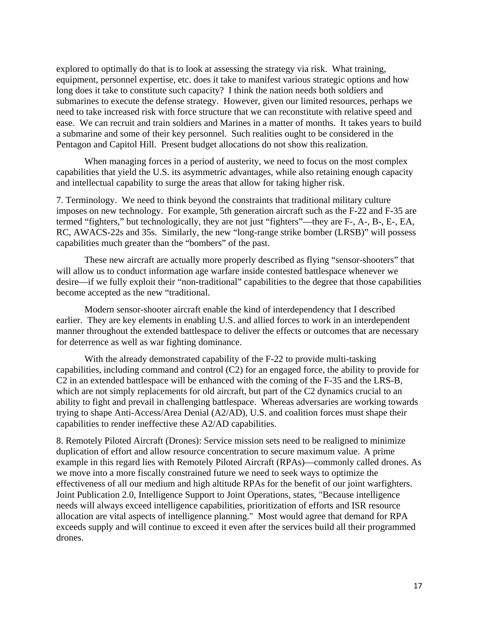explored to optimally do that is to look at assessing the strategy via risk. What training, equipment, personnel expertise, etc. does it take to manifest various strategic options and how long does it take to constitute such capacity? I think the nation needs both soldiers and submarines to execute the defense strategy. However, given our limited resources, perhaps we need to take increased risk with force structure that we can reconstitute with relative speed and ease. We can recruit and train soldiers and Marines in a matter of months. It takes years to build a submarine and some of their key personnel. Such realities ought to be considered in the Pentagon and Capitol Hill. Present budget allocations do not show this realization.

 When managing forces in a period of austerity, we need to focus on the most complex capabilities that yield the U.S. its asymmetric advantages, while also retaining enough capacity and intellectual capability to surge the areas that allow for taking higher risk.

7. Terminology. We need to think beyond the constraints that traditional military culture imposes on new technology. For example, 5th generation aircraft such as the F-22 and F-35 are termed "fighters," but technologically, they are not just "fighters"—they are F-, A-, B-, E-, EA, RC, AWACS-22s and 35s. Similarly, the new "long-range strike bomber (LRSB)" will possess capabilities much greater than the "bombers" of the past.

 These new aircraft are actually more properly described as flying "sensor-shooters" that will allow us to conduct information age warfare inside contested battlespace whenever we desire—if we fully exploit their "non-traditional" capabilities to the degree that those capabilities become accepted as the new "traditional.

 Modern sensor-shooter aircraft enable the kind of interdependency that I described earlier. They are key elements in enabling U.S. and allied forces to work in an interdependent manner throughout the extended battlespace to deliver the effects or outcomes that are necessary for deterrence as well as war fighting dominance.

 With the already demonstrated capability of the F-22 to provide multi-tasking capabilities, including command and control (C2) for an engaged force, the ability to provide for C2 in an extended battlespace will be enhanced with the coming of the F-35 and the LRS-B, which are not simply replacements for old aircraft, but part of the C2 dynamics crucial to an ability to fight and prevail in challenging battlespace. Whereas adversaries are working towards trying to shape Anti-Access/Area Denial (A2/AD), U.S. and coalition forces must shape their capabilities to render ineffective these A2/AD capabilities.

8. Remotely Piloted Aircraft (Drones): Service mission sets need to be realigned to minimize duplication of effort and allow resource concentration to secure maximum value. A prime example in this regard lies with Remotely Piloted Aircraft (RPAs)—commonly called drones. As we move into a more fiscally constrained future we need to seek ways to optimize the effectiveness of all our medium and high altitude RPAs for the benefit of our joint warfighters. Joint Publication 2.0, Intelligence Support to Joint Operations, states, "Because intelligence needs will always exceed intelligence capabilities, prioritization of efforts and ISR resource allocation are vital aspects of intelligence planning." Most would agree that demand for RPA exceeds supply and will continue to exceed it even after the services build all their programmed drones.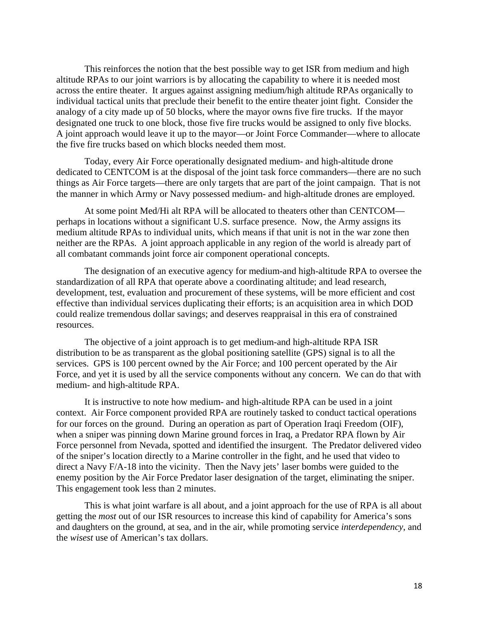This reinforces the notion that the best possible way to get ISR from medium and high altitude RPAs to our joint warriors is by allocating the capability to where it is needed most across the entire theater. It argues against assigning medium/high altitude RPAs organically to individual tactical units that preclude their benefit to the entire theater joint fight. Consider the analogy of a city made up of 50 blocks, where the mayor owns five fire trucks. If the mayor designated one truck to one block, those five fire trucks would be assigned to only five blocks. A joint approach would leave it up to the mayor—or Joint Force Commander—where to allocate the five fire trucks based on which blocks needed them most.

 Today, every Air Force operationally designated medium- and high-altitude drone dedicated to CENTCOM is at the disposal of the joint task force commanders—there are no such things as Air Force targets—there are only targets that are part of the joint campaign. That is not the manner in which Army or Navy possessed medium- and high-altitude drones are employed.

 At some point Med/Hi alt RPA will be allocated to theaters other than CENTCOM perhaps in locations without a significant U.S. surface presence. Now, the Army assigns its medium altitude RPAs to individual units, which means if that unit is not in the war zone then neither are the RPAs. A joint approach applicable in any region of the world is already part of all combatant commands joint force air component operational concepts.

 The designation of an executive agency for medium-and high-altitude RPA to oversee the standardization of all RPA that operate above a coordinating altitude; and lead research, development, test, evaluation and procurement of these systems, will be more efficient and cost effective than individual services duplicating their efforts; is an acquisition area in which DOD could realize tremendous dollar savings; and deserves reappraisal in this era of constrained resources.

 The objective of a joint approach is to get medium-and high-altitude RPA ISR distribution to be as transparent as the global positioning satellite (GPS) signal is to all the services. GPS is 100 percent owned by the Air Force; and 100 percent operated by the Air Force, and yet it is used by all the service components without any concern. We can do that with medium- and high-altitude RPA.

 It is instructive to note how medium- and high-altitude RPA can be used in a joint context. Air Force component provided RPA are routinely tasked to conduct tactical operations for our forces on the ground. During an operation as part of Operation Iraqi Freedom (OIF), when a sniper was pinning down Marine ground forces in Iraq, a Predator RPA flown by Air Force personnel from Nevada, spotted and identified the insurgent. The Predator delivered video of the sniper's location directly to a Marine controller in the fight, and he used that video to direct a Navy F/A-18 into the vicinity. Then the Navy jets' laser bombs were guided to the enemy position by the Air Force Predator laser designation of the target, eliminating the sniper. This engagement took less than 2 minutes.

 This is what joint warfare is all about, and a joint approach for the use of RPA is all about getting the *most* out of our ISR resources to increase this kind of capability for America's sons and daughters on the ground, at sea, and in the air, while promoting service *interdependency*, and the *wisest* use of American's tax dollars.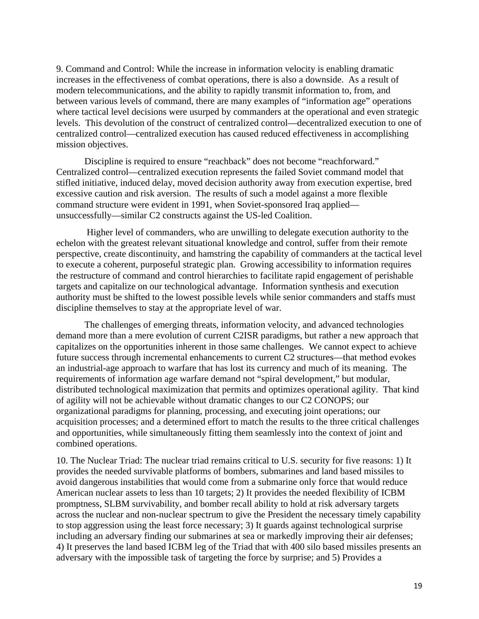9. Command and Control: While the increase in information velocity is enabling dramatic increases in the effectiveness of combat operations, there is also a downside. As a result of modern telecommunications, and the ability to rapidly transmit information to, from, and between various levels of command, there are many examples of "information age" operations where tactical level decisions were usurped by commanders at the operational and even strategic levels. This devolution of the construct of centralized control—decentralized execution to one of centralized control—centralized execution has caused reduced effectiveness in accomplishing mission objectives.

 Discipline is required to ensure "reachback" does not become "reachforward." Centralized control—centralized execution represents the failed Soviet command model that stifled initiative, induced delay, moved decision authority away from execution expertise, bred excessive caution and risk aversion. The results of such a model against a more flexible command structure were evident in 1991, when Soviet-sponsored Iraq applied unsuccessfully—similar C2 constructs against the US-led Coalition.

 Higher level of commanders, who are unwilling to delegate execution authority to the echelon with the greatest relevant situational knowledge and control, suffer from their remote perspective, create discontinuity, and hamstring the capability of commanders at the tactical level to execute a coherent, purposeful strategic plan. Growing accessibility to information requires the restructure of command and control hierarchies to facilitate rapid engagement of perishable targets and capitalize on our technological advantage. Information synthesis and execution authority must be shifted to the lowest possible levels while senior commanders and staffs must discipline themselves to stay at the appropriate level of war.

 The challenges of emerging threats, information velocity, and advanced technologies demand more than a mere evolution of current C2ISR paradigms, but rather a new approach that capitalizes on the opportunities inherent in those same challenges. We cannot expect to achieve future success through incremental enhancements to current C2 structures—that method evokes an industrial-age approach to warfare that has lost its currency and much of its meaning. The requirements of information age warfare demand not "spiral development," but modular, distributed technological maximization that permits and optimizes operational agility. That kind of agility will not be achievable without dramatic changes to our C2 CONOPS; our organizational paradigms for planning, processing, and executing joint operations; our acquisition processes; and a determined effort to match the results to the three critical challenges and opportunities, while simultaneously fitting them seamlessly into the context of joint and combined operations.

10. The Nuclear Triad: The nuclear triad remains critical to U.S. security for five reasons: 1) It provides the needed survivable platforms of bombers, submarines and land based missiles to avoid dangerous instabilities that would come from a submarine only force that would reduce American nuclear assets to less than 10 targets; 2) It provides the needed flexibility of ICBM promptness, SLBM survivability, and bomber recall ability to hold at risk adversary targets across the nuclear and non-nuclear spectrum to give the President the necessary timely capability to stop aggression using the least force necessary; 3) It guards against technological surprise including an adversary finding our submarines at sea or markedly improving their air defenses; 4) It preserves the land based ICBM leg of the Triad that with 400 silo based missiles presents an adversary with the impossible task of targeting the force by surprise; and 5) Provides a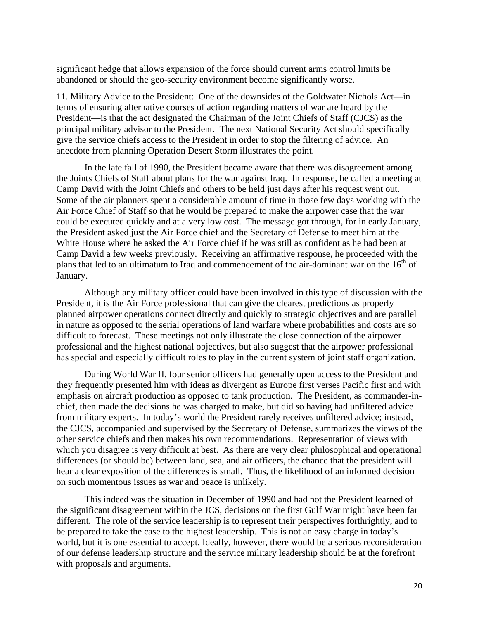significant hedge that allows expansion of the force should current arms control limits be abandoned or should the geo-security environment become significantly worse.

11. Military Advice to the President: One of the downsides of the Goldwater Nichols Act—in terms of ensuring alternative courses of action regarding matters of war are heard by the President—is that the act designated the Chairman of the Joint Chiefs of Staff (CJCS) as the principal military advisor to the President. The next National Security Act should specifically give the service chiefs access to the President in order to stop the filtering of advice. An anecdote from planning Operation Desert Storm illustrates the point.

 In the late fall of 1990, the President became aware that there was disagreement among the Joints Chiefs of Staff about plans for the war against Iraq. In response, he called a meeting at Camp David with the Joint Chiefs and others to be held just days after his request went out. Some of the air planners spent a considerable amount of time in those few days working with the Air Force Chief of Staff so that he would be prepared to make the airpower case that the war could be executed quickly and at a very low cost. The message got through, for in early January, the President asked just the Air Force chief and the Secretary of Defense to meet him at the White House where he asked the Air Force chief if he was still as confident as he had been at Camp David a few weeks previously. Receiving an affirmative response, he proceeded with the plans that led to an ultimatum to Iraq and commencement of the air-dominant war on the  $16<sup>th</sup>$  of January.

 Although any military officer could have been involved in this type of discussion with the President, it is the Air Force professional that can give the clearest predictions as properly planned airpower operations connect directly and quickly to strategic objectives and are parallel in nature as opposed to the serial operations of land warfare where probabilities and costs are so difficult to forecast. These meetings not only illustrate the close connection of the airpower professional and the highest national objectives, but also suggest that the airpower professional has special and especially difficult roles to play in the current system of joint staff organization.

 During World War II, four senior officers had generally open access to the President and they frequently presented him with ideas as divergent as Europe first verses Pacific first and with emphasis on aircraft production as opposed to tank production. The President, as commander-inchief, then made the decisions he was charged to make, but did so having had unfiltered advice from military experts. In today's world the President rarely receives unfiltered advice; instead, the CJCS, accompanied and supervised by the Secretary of Defense, summarizes the views of the other service chiefs and then makes his own recommendations. Representation of views with which you disagree is very difficult at best. As there are very clear philosophical and operational differences (or should be) between land, sea, and air officers, the chance that the president will hear a clear exposition of the differences is small. Thus, the likelihood of an informed decision on such momentous issues as war and peace is unlikely.

 This indeed was the situation in December of 1990 and had not the President learned of the significant disagreement within the JCS, decisions on the first Gulf War might have been far different. The role of the service leadership is to represent their perspectives forthrightly, and to be prepared to take the case to the highest leadership. This is not an easy charge in today's world, but it is one essential to accept. Ideally, however, there would be a serious reconsideration of our defense leadership structure and the service military leadership should be at the forefront with proposals and arguments.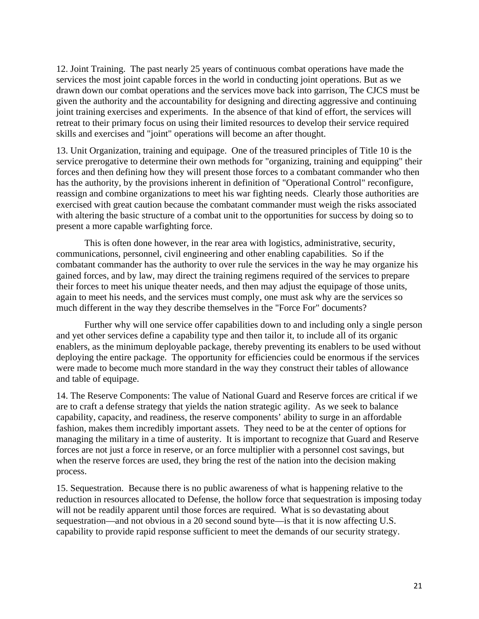12. Joint Training. The past nearly 25 years of continuous combat operations have made the services the most joint capable forces in the world in conducting joint operations. But as we drawn down our combat operations and the services move back into garrison, The CJCS must be given the authority and the accountability for designing and directing aggressive and continuing joint training exercises and experiments. In the absence of that kind of effort, the services will retreat to their primary focus on using their limited resources to develop their service required skills and exercises and "joint" operations will become an after thought.

13. Unit Organization, training and equipage. One of the treasured principles of Title 10 is the service prerogative to determine their own methods for "organizing, training and equipping" their forces and then defining how they will present those forces to a combatant commander who then has the authority, by the provisions inherent in definition of "Operational Control" reconfigure, reassign and combine organizations to meet his war fighting needs. Clearly those authorities are exercised with great caution because the combatant commander must weigh the risks associated with altering the basic structure of a combat unit to the opportunities for success by doing so to present a more capable warfighting force.

 This is often done however, in the rear area with logistics, administrative, security, communications, personnel, civil engineering and other enabling capabilities. So if the combatant commander has the authority to over rule the services in the way he may organize his gained forces, and by law, may direct the training regimens required of the services to prepare their forces to meet his unique theater needs, and then may adjust the equipage of those units, again to meet his needs, and the services must comply, one must ask why are the services so much different in the way they describe themselves in the "Force For" documents?

 Further why will one service offer capabilities down to and including only a single person and yet other services define a capability type and then tailor it, to include all of its organic enablers, as the minimum deployable package, thereby preventing its enablers to be used without deploying the entire package. The opportunity for efficiencies could be enormous if the services were made to become much more standard in the way they construct their tables of allowance and table of equipage.

14. The Reserve Components: The value of National Guard and Reserve forces are critical if we are to craft a defense strategy that yields the nation strategic agility. As we seek to balance capability, capacity, and readiness, the reserve components' ability to surge in an affordable fashion, makes them incredibly important assets. They need to be at the center of options for managing the military in a time of austerity. It is important to recognize that Guard and Reserve forces are not just a force in reserve, or an force multiplier with a personnel cost savings, but when the reserve forces are used, they bring the rest of the nation into the decision making process.

15. Sequestration. Because there is no public awareness of what is happening relative to the reduction in resources allocated to Defense, the hollow force that sequestration is imposing today will not be readily apparent until those forces are required. What is so devastating about sequestration—and not obvious in a 20 second sound byte—is that it is now affecting U.S. capability to provide rapid response sufficient to meet the demands of our security strategy.